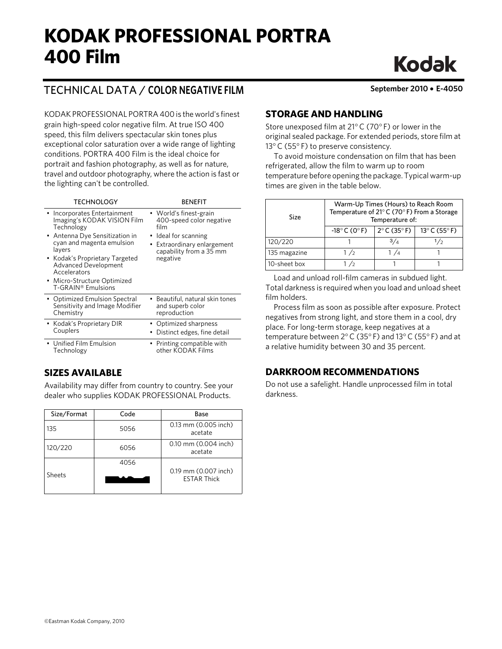# **KODAK PROFESSIONAL PORTRA 400 Film**

# **Kodak**

# TECHNICAL DATA / **COLOR NEGATIVE FILM September 2010** • **E-4050**

KODAK PROFESSIONAL PORTRA 400 is the world's finest grain high-speed color negative film. At true ISO 400 speed, this film delivers spectacular skin tones plus exceptional color saturation over a wide range of lighting conditions. PORTRA 400 Film is the ideal choice for portrait and fashion photography, as well as for nature, travel and outdoor photography, where the action is fast or the lighting can't be controlled.

| <b>TECHNOLOGY</b>                                                                                                                                                                                                                                                                        | <b>BENFFIT</b>                                                                                                                                            |
|------------------------------------------------------------------------------------------------------------------------------------------------------------------------------------------------------------------------------------------------------------------------------------------|-----------------------------------------------------------------------------------------------------------------------------------------------------------|
| • Incorporates Entertainment<br>Imaging's KODAK VISION Film<br>Technology<br>• Antenna Dye Sensitization in<br>cyan and magenta emulsion<br>layers<br>• Kodak's Proprietary Targeted<br><b>Advanced Development</b><br>Accelerators<br>• Micro-Structure Optimized<br>T-GRAIN® Emulsions | • World's finest-grain<br>400-speed color negative<br>film<br>Ideal for scanning<br>٠<br>Extraordinary enlargement<br>capability from a 35 mm<br>negative |
| • Optimized Emulsion Spectral                                                                                                                                                                                                                                                            | Beautiful, natural skin tones                                                                                                                             |
| Sensitivity and Image Modifier                                                                                                                                                                                                                                                           | and superb color                                                                                                                                          |
| Chemistry                                                                                                                                                                                                                                                                                | reproduction                                                                                                                                              |
| • Kodak's Proprietary DIR                                                                                                                                                                                                                                                                | • Optimized sharpness                                                                                                                                     |
| Couplers                                                                                                                                                                                                                                                                                 | Distinct edges, fine detail                                                                                                                               |
| • Unified Film Emulsion                                                                                                                                                                                                                                                                  | • Printing compatible with                                                                                                                                |
| Technology                                                                                                                                                                                                                                                                               | other KODAK Films                                                                                                                                         |

# **SIZES AVAILABLE**

Availability may differ from country to country. See your dealer who supplies KODAK PROFESSIONAL Products.

| Size/Format | Code | Base                                       |
|-------------|------|--------------------------------------------|
| 135         | 5056 | 0.13 mm (0.005 inch)<br>acetate            |
| 120/220     | 6056 | 0.10 mm (0.004 inch)<br>acetate            |
| Sheets      | 4056 | 0.19 mm (0.007 inch)<br><b>FSTAR Thick</b> |

# **STORAGE AND HANDLING**

Store unexposed film at 21°C (70° F) or lower in the original sealed package. For extended periods, store film at 13 $\degree$ C (55 $\degree$ F) to preserve consistency.

To avoid moisture condensation on film that has been refrigerated, allow the film to warm up to room temperature before opening the package. Typical warm-up times are given in the table below.

| Size         | Warm-Up Times (Hours) to Reach Room<br>Temperature of 21°C (70°F) From a Storage<br>Temperature of: |                                 |                                  |  |
|--------------|-----------------------------------------------------------------------------------------------------|---------------------------------|----------------------------------|--|
|              | $-18^{\circ}$ C (0 $^{\circ}$ F)                                                                    | $2^{\circ}$ C (35 $^{\circ}$ F) | $13^{\circ}$ C (55 $^{\circ}$ F) |  |
| 120/220      |                                                                                                     | 3/4                             | 1/2                              |  |
| 135 magazine | 1/2                                                                                                 | 1 / 4                           |                                  |  |
| 10-sheet box | 1/2                                                                                                 |                                 |                                  |  |

Load and unload roll-film cameras in subdued light. Total darkness is required when you load and unload sheet film holders.

Process film as soon as possible after exposure. Protect negatives from strong light, and store them in a cool, dry place. For long-term storage, keep negatives at a temperature between 2°C (35° F) and 13°C (55° F) and at a relative humidity between 30 and 35 percent.

# **DARKROOM RECOMMENDATIONS**

Do not use a safelight. Handle unprocessed film in total darkness.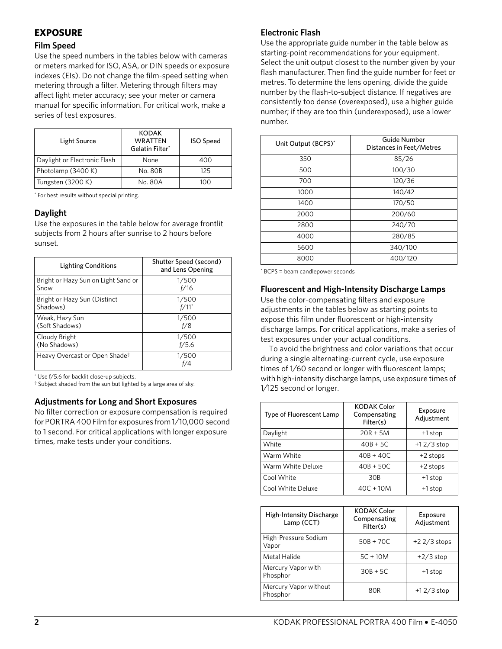# **EXPOSURE**

### **Film Speed**

Use the speed numbers in the tables below with cameras or meters marked for ISO, ASA, or DIN speeds or exposure indexes (EIs). Do not change the film-speed setting when metering through a filter. Metering through filters may affect light meter accuracy; see your meter or camera manual for specific information. For critical work, make a series of test exposures.

| Light Source                 | <b>KODAK</b><br><b>WRATTEN</b><br>Gelatin Filter* | <b>ISO Speed</b> |
|------------------------------|---------------------------------------------------|------------------|
| Daylight or Electronic Flash | None                                              | 400              |
| Photolamp (3400 K)           | No. 80B                                           | 125              |
| Tungsten (3200 K)            | No. 80A                                           | 100              |

\* For best results without special printing.

# **Daylight**

Use the exposures in the table below for average frontlit subjects from 2 hours after sunrise to 2 hours before sunset.

| Lighting Conditions                       | Shutter Speed (second)<br>and Lens Opening |
|-------------------------------------------|--------------------------------------------|
| Bright or Hazy Sun on Light Sand or       | 1/500                                      |
| Snow                                      | f/16                                       |
| Bright or Hazy Sun (Distinct              | 1/500                                      |
| Shadows)                                  | f/11                                       |
| Weak, Hazy Sun                            | 1/500                                      |
| (Soft Shadows)                            | f/8                                        |
| Cloudy Bright                             | 1/500                                      |
| (No Shadows)                              | f/5.6                                      |
| Heavy Overcast or Open Shade <sup>‡</sup> | 1/500                                      |

\* Use f/5.6 for backlit close-up subjects.

‡ Subject shaded from the sun but lighted by a large area of sky.

#### **Adjustments for Long and Short Exposures**

No filter correction or exposure compensation is required for PORTRA 400 Film for exposures from 1⁄10,000 second to 1 second. For critical applications with longer exposure times, make tests under your conditions.

#### **Electronic Flash**

Use the appropriate guide number in the table below as starting-point recommendations for your equipment. Select the unit output closest to the number given by your flash manufacturer. Then find the guide number for feet or metres. To determine the lens opening, divide the guide number by the flash-to-subject distance. If negatives are consistently too dense (overexposed), use a higher guide number; if they are too thin (underexposed), use a lower number.

| Unit Output (BCPS)* | Guide Number<br>Distances in Feet/Metres |
|---------------------|------------------------------------------|
| 350                 | 85/26                                    |
| 500                 | 100/30                                   |
| 700                 | 120/36                                   |
| 1000                | 140/42                                   |
| 1400                | 170/50                                   |
| 2000                | 200/60                                   |
| 2800                | 240/70                                   |
| 4000                | 280/85                                   |
| 5600                | 340/100                                  |
| 8000                | 400/120                                  |

\* BCPS = beam candlepower seconds

#### **Fluorescent and High-Intensity Discharge Lamps**

Use the color-compensating filters and exposure adjustments in the tables below as starting points to expose this film under fluorescent or high-intensity discharge lamps. For critical applications, make a series of test exposures under your actual conditions.

To avoid the brightness and color variations that occur during a single alternating-current cycle, use exposure times of 1⁄60 second or longer with fluorescent lamps; with high-intensity discharge lamps, use exposure times of 1⁄125 second or longer.

| Type of Fluorescent Lamp | <b>KODAK Color</b><br>Compensating<br>Filter(s) | Exposure<br>Adjustment |
|--------------------------|-------------------------------------------------|------------------------|
| Daylight                 | $20R + 5M$                                      | +1 stop                |
| White                    | $40B + 5C$                                      | $+12/3$ stop           |
| Warm White               | $40B + 40C$                                     | $+2$ stops             |
| Warm White Deluxe        | $40B + 50C$                                     | $+2$ stops             |
| Cool White               | 30 <sub>B</sub>                                 | +1 stop                |
| Cool White Deluxe        | $40C + 10M$                                     | +1 stop                |

| <b>High-Intensity Discharge</b><br>Lamp (CCT) | <b>KODAK Color</b><br>Compensating<br>Filter(s) | Exposure<br>Adjustment |
|-----------------------------------------------|-------------------------------------------------|------------------------|
| High-Pressure Sodium<br>Vapor                 | $50B + 70C$                                     | $+22/3$ stops          |
| Metal Halide                                  | $5C + 10M$                                      | $+2/3$ stop            |
| Mercury Vapor with<br>Phosphor                | $30B + 5C$                                      | +1 stop                |
| Mercury Vapor without<br>Phosphor             | 80R                                             | $+12/3$ stop           |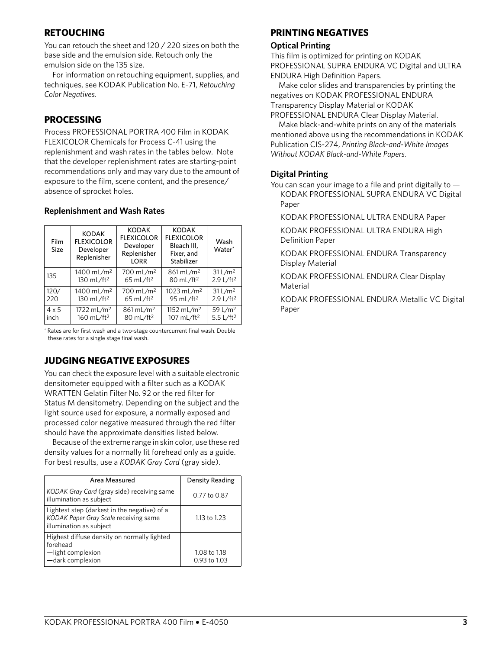# **RETOUCHING**

You can retouch the sheet and 120 / 220 sizes on both the base side and the emulsion side. Retouch only the emulsion side on the 135 size.

For information on retouching equipment, supplies, and techniques, see KODAK Publication No. E-71, *Retouching Color Negatives*.

# **PROCESSING**

Process PROFESSIONAL PORTRA 400 Film in KODAK FLEXICOLOR Chemicals for Process C-41 using the replenishment and wash rates in the tables below. Note that the developer replenishment rates are starting-point recommendations only and may vary due to the amount of exposure to the film, scene content, and the presence/ absence of sprocket holes.

| Film<br>Size | <b>KODAK</b><br><b>FLEXICOLOR</b><br>Developer<br>Replenisher | <b>KODAK</b><br><b>FLEXICOLOR</b><br>Developer<br>Replenisher<br><b>LORR</b> | <b>KODAK</b><br><b>FLEXICOLOR</b><br>Bleach III.<br>Fixer, and<br>Stabilizer | Wash<br>Water <sup>*</sup> |
|--------------|---------------------------------------------------------------|------------------------------------------------------------------------------|------------------------------------------------------------------------------|----------------------------|
| 135          | 1400 mL/m <sup>2</sup>                                        | 700 mL/m <sup>2</sup>                                                        | $861 \, \text{mL/m}^2$                                                       | 31 L/m <sup>2</sup>        |
|              | 130 mL/ft <sup>2</sup>                                        | 65 mL/ft <sup>2</sup>                                                        | 80 mL/ft <sup>2</sup>                                                        | 2.9 L/ft <sup>2</sup>      |
| 120/         | 1400 mL/m <sup>2</sup>                                        | 700 mL/m <sup>2</sup>                                                        | 1023 mL/m <sup>2</sup>                                                       | 31 L/m <sup>2</sup>        |
| 220          | 130 mL/ft <sup>2</sup>                                        | 65 mL/ft <sup>2</sup>                                                        | 95 mL/ft <sup>2</sup>                                                        | 2.9 L/ft <sup>2</sup>      |
| $4 \times 5$ | 1722 mL/m <sup>2</sup>                                        | 861 mL/m <sup>2</sup>                                                        | 1152 mL/m <sup>2</sup>                                                       | 59 L/m <sup>2</sup>        |
| inch         | 160 mL/ft <sup>2</sup>                                        | 80 mL/ft <sup>2</sup>                                                        | 107 mL/ft <sup>2</sup>                                                       | 5.5 L/ft <sup>2</sup>      |

#### **Replenishment and Wash Rates**

\* Rates are for first wash and a two-stage countercurrent final wash. Double these rates for a single stage final wash.

# **JUDGING NEGATIVE EXPOSURES**

You can check the exposure level with a suitable electronic densitometer equipped with a filter such as a KODAK WRATTEN Gelatin Filter No. 92 or the red filter for Status M densitometry. Depending on the subject and the light source used for exposure, a normally exposed and processed color negative measured through the red filter should have the approximate densities listed below.

Because of the extreme range in skin color, use these red density values for a normally lit forehead only as a guide. For best results, use a *KODAK Gray Card* (gray side).

| Area Measured                                                                                                    | Density Reading              |
|------------------------------------------------------------------------------------------------------------------|------------------------------|
| KODAK Gray Card (gray side) receiving same<br>illumination as subject                                            | 0.77 to 0.87                 |
| Lightest step (darkest in the negative) of a<br>KODAK Paper Gray Scale receiving same<br>illumination as subject | 1.13 to 1.23                 |
| Highest diffuse density on normally lighted<br>forehead<br>-light complexion<br>-dark complexion                 | 1.08 to 1.18<br>0.93 to 1.03 |

# **PRINTING NEGATIVES**

#### **Optical Printing**

This film is optimized for printing on KODAK PROFESSIONAL SUPRA ENDURA VC Digital and ULTRA ENDURA High Definition Papers.

Make color slides and transparencies by printing the negatives on KODAK PROFESSIONAL ENDURA Transparency Display Material or KODAK PROFESSIONAL ENDURA Clear Display Material.

Make black-and-white prints on any of the materials mentioned above using the recommendations in KODAK Publication CIS-274, *Printing Black-and-White Images Without KODAK Black-and-White Papers*.

# **Digital Printing**

You can scan your image to a file and print digitally to — KODAK PROFESSIONAL SUPRA ENDURA VC Digital Paper

KODAK PROFESSIONAL ULTRA ENDURA Paper

KODAK PROFESSIONAL ULTRA ENDURA High Definition Paper

KODAK PROFESSIONAL ENDURA Transparency Display Material

KODAK PROFESSIONAL ENDURA Clear Display Material

KODAK PROFESSIONAL ENDURA Metallic VC Digital Paper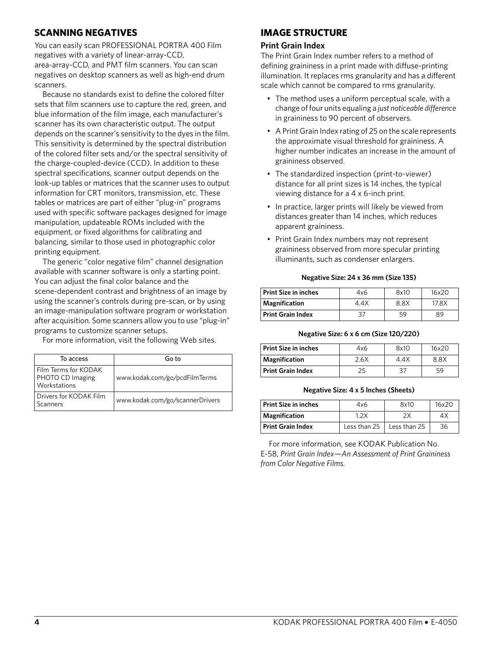# **SCANNING NEGATIVES**

You can easily scan PROFESSIONAL PORTRA 400 Film negatives with a variety of linear-array-CCD, area-array-CCD, and PMT film scanners. You can scan negatives on desktop scanners as well as high-end drum scanners.

Because no standards exist to define the colored filter sets that film scanners use to capture the red, green, and blue information of the film image, each manufacturer's scanner has its own characteristic output. The output depends on the scanner's sensitivity to the dyes in the film. This sensitivity is determined by the spectral distribution of the colored filter sets and/or the spectral sensitivity of the charge-coupled-device (CCD). In addition to these spectral specifications, scanner output depends on the look-up tables or matrices that the scanner uses to output information for CRT monitors, transmission, etc. These tables or matrices are part of either "plug-in" programs used with specific software packages designed for image manipulation, updateable ROMs included with the equipment, or fixed algorithms for calibrating and balancing, similar to those used in photographic color printing equipment.

The generic "color negative film" channel designation available with scanner software is only a starting point. You can adjust the final color balance and the scene-dependent contrast and brightness of an image by using the scanner's controls during pre-scan, or by using an image-manipulation software program or workstation after acquisition. Some scanners allow you to use "plug-in" programs to customize scanner setups.

For more information, visit the following Web sites.

| To access                                                | Go to                           |
|----------------------------------------------------------|---------------------------------|
| Film Terms for KODAK<br>PHOTO CD Imaging<br>Workstations | www.kodak.com/go/pcdFilmTerms   |
| Drivers for KODAK Film<br>Scanners                       | www.kodak.com/go/scannerDrivers |

# **IMAGE STRUCTURE**

#### **Print Grain Index**

The Print Grain Index number refers to a method of defining graininess in a print made with diffuse-printing illumination. It replaces rms granularity and has a different scale which cannot be compared to rms granularity.

- The method uses a uniform perceptual scale, with a change of four units equaling a *just noticeable difference* in graininess to 90 percent of observers.
- A Print Grain Index rating of 25 on the scale represents the approximate visual threshold for graininess. A higher number indicates an increase in the amount of graininess observed.
- The standardized inspection (print-to-viewer) distance for all print sizes is 14 inches, the typical viewing distance for a 4 x 6-inch print.
- In practice, larger prints will likely be viewed from distances greater than 14 inches, which reduces apparent graininess.
- Print Grain Index numbers may not represent graininess observed from more specular printing illuminants, such as condenser enlargers.

#### **Negative Size: 24 x 36 mm (Size 135)**

| Print Size in inches | 4x6  | 8x10 | 16x20 |
|----------------------|------|------|-------|
| <b>Magnification</b> | 4.4X | 8.8X | 17.8X |
| Print Grain Index    | 37   | 59   | 89    |

#### **Negative Size: 6 x 6 cm (Size 120/220)**

| Print Size in inches | 4x6  | 8x10 | 16x20 |
|----------------------|------|------|-------|
| Magnification        | 2.6X | 4.4X | 8.8X  |
| Print Grain Index    | 25   | 37   | 59    |

#### **Negative Size: 4 x 5 Inches (Sheets)**

| <b>Print Size in inches</b> | 4x6          | 8x10         | 16x20 |
|-----------------------------|--------------|--------------|-------|
| Magnification               | 1 2 X        |              | 4Х    |
| <b>Print Grain Index</b>    | Less than 25 | Less than 25 | 36    |

For more information, see KODAK Publication No. E-58, *Print Grain Index—An Assessment of Print Graininess from Color Negative Films.*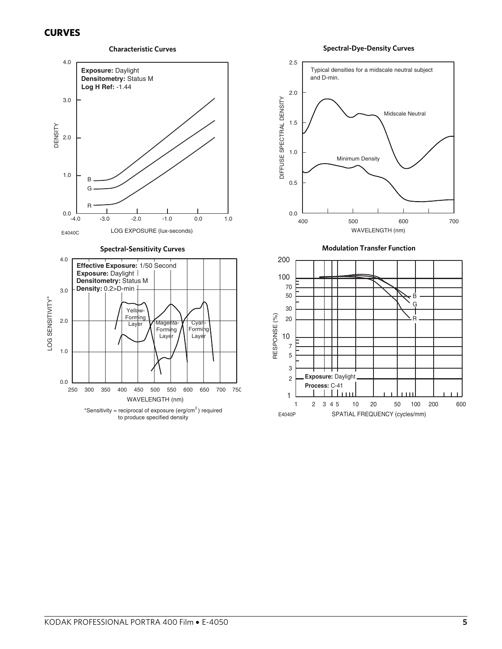# **CURVES**